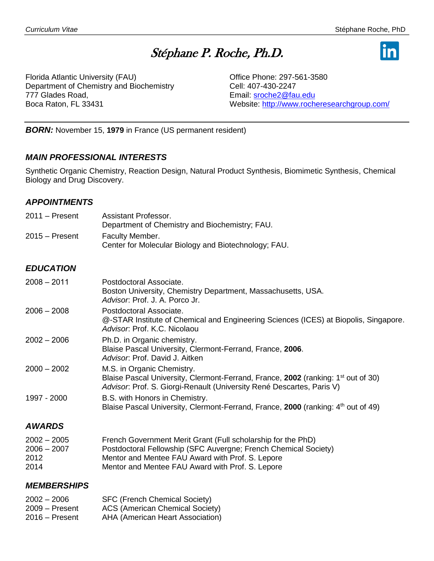# Stéphane P. Roche, Ph.D.



Florida Atlantic University (FAU) Department of Chemistry and Biochemistry 777 Glades Road, Boca Raton, FL 33431

Office Phone: 297-561-3580 Cell: 407-430-2247 Email: [sroche2@fau.edu](mailto:sroche2@fau.edu) Website:<http://www.rocheresearchgroup.com/>

*BORN:* November 15, **1979** in France (US permanent resident)

#### *MAIN PROFESSIONAL INTERESTS*

Synthetic Organic Chemistry, Reaction Design, Natural Product Synthesis, Biomimetic Synthesis, Chemical Biology and Drug Discovery.

#### *APPOINTMENTS*

2011 – Present Assistant Professor. Department of Chemistry and Biochemistry; FAU. 2015 – Present Faculty Member. Center for Molecular Biology and Biotechnology; FAU.

#### *EDUCATION*

| $2008 - 2011$ | Postdoctoral Associate.<br>Boston University, Chemistry Department, Massachusetts, USA.<br>Advisor: Prof. J. A. Porco Jr.                                                                            |
|---------------|------------------------------------------------------------------------------------------------------------------------------------------------------------------------------------------------------|
| $2006 - 2008$ | Postdoctoral Associate.<br>@-STAR Institute of Chemical and Engineering Sciences (ICES) at Biopolis, Singapore.<br>Advisor, Prof. K.C. Nicolaou                                                      |
| $2002 - 2006$ | Ph.D. in Organic chemistry.<br>Blaise Pascal University, Clermont-Ferrand, France, 2006.<br>Advisor: Prof. David J. Aitken                                                                           |
| $2000 - 2002$ | M.S. in Organic Chemistry.<br>Blaise Pascal University, Clermont-Ferrand, France, 2002 (ranking: 1 <sup>st</sup> out of 30)<br>Advisor. Prof. S. Giorgi-Renault (University René Descartes, Paris V) |
| 1997 - 2000   | B.S. with Honors in Chemistry.<br>Blaise Pascal University, Clermont-Ferrand, France, 2000 (ranking: 4 <sup>th</sup> out of 49)                                                                      |

#### *AWARDS*

| $2002 - 2005$ | French Government Merit Grant (Full scholarship for the PhD)    |
|---------------|-----------------------------------------------------------------|
| $2006 - 2007$ | Postdoctoral Fellowship (SFC Auvergne; French Chemical Society) |
| 2012          | Mentor and Mentee FAU Award with Prof. S. Lepore                |
| 2014          | Mentor and Mentee FAU Award with Prof. S. Lepore                |

#### *MEMBERSHIPS*

| $2002 - 2006$    | <b>SFC (French Chemical Society)</b> |
|------------------|--------------------------------------|
| $2009 -$ Present | ACS (American Chemical Society)      |
| $2016 -$ Present | AHA (American Heart Association)     |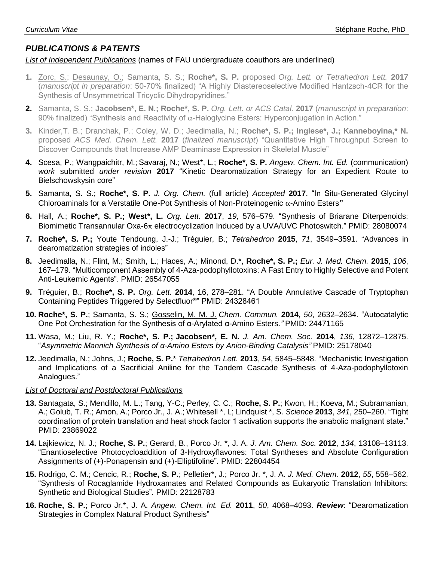## *PUBLICATIONS & PATENTS*

#### *List of Independent Publications* (names of FAU undergraduate coauthors are underlined)

- **1.** Zorc, S.; Desaunay, O.; Samanta, S. S.; **Roche\*, S. P.** proposed *Org. Lett. or Tetrahedron Lett.* **2017** (*manuscript in preparation*: 50-70% finalized) "A Highly Diastereoselective Modified Hantzsch-4CR for the Synthesis of Unsymmetrical Tricyclic Dihydropyridines."
- **2.** Samanta, S. S.; **Jacobsen\*, E. N.; Roche\*, S. P.** *Org. Lett. or ACS Catal.* **2017** (*manuscript in preparation*: 90% finalized) "Synthesis and Reactivity of  $\alpha$ -Haloglycine Esters: Hyperconjugation in Action."
- **3.** Kinder,T. B.; Dranchak, P.; Coley, W. D.; Jeedimalla, N.; **Roche\*, S. P.; Inglese\*, J.; Kanneboyina,\* N.** proposed *ACS Med. Chem. Lett.* **2017** (*finalized manuscript*) "Quantitative High Throughput Screen to Discover Compounds that Increase AMP Deaminase Expression in Skeletal Muscle"
- **4.** Scesa, P.; Wangpaichitr, M.; Savaraj, N.; West\*, L.; **Roche\*, S. P.** *Angew. Chem. Int. Ed.* (communication) *work* submitted *under revision* **2017** "Kinetic Dearomatization Strategy for an Expedient Route to Bielschowskysin core"
- **5.** Samanta, S. S.; **Roche\*, S. P.** *J. Org. Chem.* (full article) *Accepted* **2017**. "In Situ-Generated Glycinyl Chloroaminals for a Verstatile One-Pot Synthesis of Non-Proteinogenic  $\alpha$ -Amino Esters"
- **6.** Hall, A.; **Roche\*, S. P.; West\*, L.** *Org. Lett.* **2017**, *19*, 576–579. "Synthesis of Briarane Diterpenoids: Biomimetic Transannular Oxa-6 $\pi$  electrocyclization Induced by a UVA/UVC Photoswitch." PMID: 28080074
- **7. Roche\*, S. P.;** Youte Tendoung, J.-J.; Tréguier, B.; *Tetrahedron* **2015**, *71*, 3549–3591. "Advances in dearomatization strategies of indoles"
- **8.** Jeedimalla, N.; Flint, M.; Smith, L.; Haces, A.; Minond, D.\*, **Roche\*, S. P.;** *Eur. J. Med. Chem.* **2015**, *106*, 167–179. "Multicomponent Assembly of 4-Aza-podophyllotoxins: A Fast Entry to Highly Selective and Potent Anti-Leukemic Agents". PMID: 26547055
- **9.** Tréguier, B.; **Roche\*, S. P.** *Org. Lett.* **2014**, 16, 278–281. "A Double Annulative Cascade of Tryptophan Containing Peptides Triggered by Selectfluor® " PMID: 24328461
- **10. Roche\*, S. P.**; Samanta, S. S.; Gosselin, M. M. J. *Chem. Commun.* **2014,** *50*, 2632–2634. "Autocatalytic One Pot Orchestration for the Synthesis of α-Arylated α-Amino Esters.*"* PMID: 24471165
- **11.** Wasa, M.; Liu, R. Y.; **Roche\*, S. P.; Jacobsen\*, E. N.** *J. Am. Chem. Soc.* **2014**, *136*, 12872–12875. "*Asymmetric Mannich Synthesis of α-Amino Esters by Anion-Binding Catalysis"* PMID: 25178040
- **12.** Jeedimalla, N.; Johns, J.; **Roche, S. P.**\* *Tetrahedron Lett.* **2013**, *54*, 5845–5848. "Mechanistic Investigation and Implications of a Sacrificial Aniline for the Tandem Cascade Synthesis of 4-Aza-podophyllotoxin Analogues."

#### *List of Doctoral and Postdoctoral Publications*

- **13.** Santagata, S.; Mendillo, M. L.; Tang, Y-C.; Perley, C. C.; **Roche, S. P.**; Kwon, H.; Koeva, M.; Subramanian, A.; Golub, T. R.; Amon, A.; Porco Jr., J. A.; Whitesell \*, L; Lindquist \*, S. *Science* **2013**, *341*, 250–260. "Tight coordination of protein translation and heat shock factor 1 activation supports the anabolic malignant state." PMID: 23869022
- **14.** Lajkiewicz, N. J.; **Roche, S. P.**; Gerard, B., Porco Jr. \*, J. A. *J. Am. Chem. Soc.* **2012**, *134*, 13108–13113. "Enantioselective Photocycloaddition of 3-Hydroxyflavones: Total Syntheses and Absolute Configuration Assignments of (+)-Ponapensin and (+)-Elliptifoline"*.* PMID: 22804454
- **15.** Rodrigo, C. M.; Cencic, R.; **Roche, S. P.**; Pelletier\*, J.; Porco Jr. \*, J. A. *J. Med. Chem.* **2012**, *55*, 558–562. "Synthesis of Rocaglamide Hydroxamates and Related Compounds as Eukaryotic Translation Inhibitors: Synthetic and Biological Studies"*.* PMID: 22128783
- **16. Roche, S. P.**; Porco Jr.\*, J. A. *Angew. Chem. Int. Ed.* **2011**, *50*, 4068**–**4093. *Review*: "Dearomatization Strategies in Complex Natural Product Synthesis"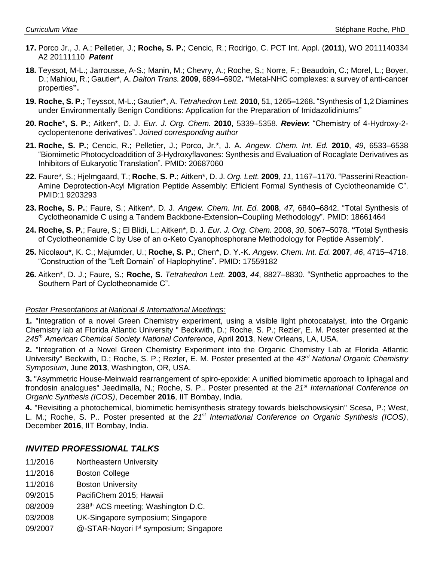- **17.** Porco Jr., J. A.; Pelletier, J.; **Roche, S. P.**; Cencic, R.; Rodrigo, C. PCT Int. Appl. (**2011**), WO 2011140334 A2 20111110 *Patent*
- **18.** Teyssot, M-L.; Jarrousse, A-S.; Manin, M.; Chevry, A.; Roche, S.; Norre, F.; Beaudoin, C.; Morel, L.; Boyer, D.; Mahiou, R.; Gautier\*, A. *Dalton Trans.* **2009**, 6894–6902**. "**Metal-NHC complexes: a survey of anti-cancer properties**".**
- **19. Roche, S. P.;** Teyssot, M-L.; Gautier\*, A. *Tetrahedron Lett.* **2010,** 51, 1265**–**1268**.** "Synthesis of 1,2 Diamines under Environmentally Benign Conditions: Application for the Preparation of Imidazolidiniums"
- **20. Roche**\***, S. P.**; Aitken\*, D. J. *Eur. J. Org. Chem.* **2010**, 5339–5358. *Review*: "Chemistry of 4-Hydroxy-2 cyclopentenone derivatives". *Joined corresponding author*
- **21. Roche, S. P.**; Cencic, R.; Pelletier, J.; Porco, Jr.\*, J. A. *Angew. Chem. Int. Ed.* **2010**, *49*, 6533–6538 "Biomimetic Photocycloaddition of 3-Hydroxyflavones: Synthesis and Evaluation of Rocaglate Derivatives as Inhibitors of Eukaryotic Translation"*.* PMID: 20687060
- **22.** Faure\*, S.; Hjelmgaard, T.; **Roche**, **S. P.**; Aitken\*, D. J. *Org. Lett.* **2009***, 11,* 1167–1170. "Passerini Reaction-Amine Deprotection-Acyl Migration Peptide Assembly: Efficient Formal Synthesis of Cyclotheonamide C". PMID:1 9203293
- **23. Roche, S. P.**; Faure, S.; Aitken\*, D. J. *Angew. Chem. Int. Ed.* **2008**, *47*, 6840–6842. "Total Synthesis of Cyclotheonamide C using a Tandem Backbone-Extension–Coupling Methodology". PMID: 18661464
- **24. Roche, S. P.**; Faure, S.; El Blidi, L.; Aitken\*, D. J. *Eur. J. Org. Chem.* 2008, *30*, 5067–5078. **"**Total Synthesis of Cyclotheonamide C by Use of an α-Keto Cyanophosphorane Methodology for Peptide Assembly".
- **25.** Nicolaou\*, K. C.; Majumder, U.; **Roche, S. P.**; Chen\*, D. Y.-K. *Angew. Chem. Int. Ed.* **2007**, *46*, 4715–4718. "Construction of the "Left Domain" of Haplophytine". PMID: 17559182
- **26.** Aitken\*, D. J.; Faure, S.; **Roche, S.** *Tetrahedron Lett.* **2003**, *44*, 8827–8830. "Synthetic approaches to the Southern Part of Cyclotheonamide C".

#### *Poster Presentations at National & International Meetings:*

**1.** "Integration of a novel Green Chemistry experiment, using a visible light photocatalyst, into the Organic Chemistry lab at Florida Atlantic University " Beckwith, D.; Roche, S. P.; Rezler, E. M. Poster presented at the *245th American Chemical Society National Conference*, April **2013**, New Orleans, LA, USA.

**2.** "Integration of a Novel Green Chemistry Experiment into the Organic Chemistry Lab at Florida Atlantic University" Beckwith, D.; Roche, S. P.; Rezler, E. M. Poster presented at the *43rd National Organic Chemistry Symposium*, June **2013**, Washington, OR, USA.

**3.** "Asymmetric House-Meinwald rearrangement of spiro-epoxide: A unified biomimetic approach to liphagal and frondosin analogues" Jeedimalla, N.; Roche, S. P.. Poster presented at the *21st International Conference on Organic Synthesis (ICOS)*, December **2016**, IIT Bombay, India.

**4.** "Revisiting a photochemical, biomimetic hemisynthesis strategy towards bielschowskysin" Scesa, P.; West, L. M.; Roche, S. P.. Poster presented at the *21st International Conference on Organic Synthesis (ICOS)*, December **2016**, IIT Bombay, India.

### *INVITED PROFESSIONAL TALKS*

- 11/2016 Northeastern University
- 11/2016 Boston College
- 11/2016 Boston University
- 09/2015 PacifiChem 2015; Hawaii
- 08/2009 238<sup>th</sup> ACS meeting; Washington D.C.
- 03/2008 UK-Singapore symposium; Singapore
- 09/2007 @-STAR-Noyori I<sup>st</sup> symposium; Singapore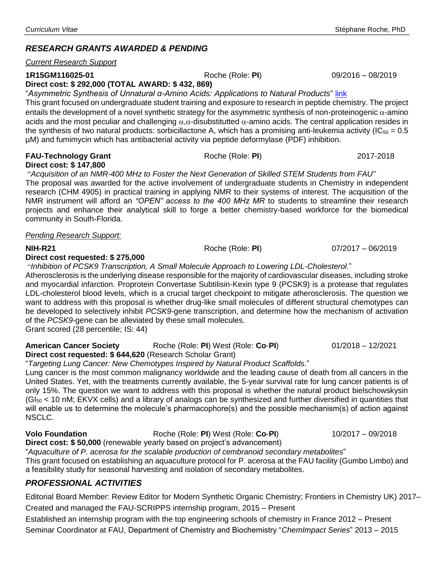# *RESEARCH GRANTS AWARDED & PENDING*

#### *Current Research Support*

#### **1R15GM116025-01** Roche (Role: **PI**) 09/2016 – 08/2019

**Direct cost: \$ 292,000 (TOTAL AWARD: \$ 432, 869)**

"*Asymmetric Synthesis of Unnatural α-Amino Acids: Applications to Natural Products*" [link](https://projectreporter.nih.gov/project_info_description.cfm?aid=9232407&icde=31456198&ddparam=&ddvalue=&ddsub=&cr=6&csb=default&cs=ASC) This grant focused on undergraduate student training and exposure to research in peptide chemistry. The project entails the development of a novel synthetic strategy for the asymmetric synthesis of non-proteinogenic  $\alpha$ -amino acids and the most peculiar and challenging  $\alpha,\alpha$ -disubstitutted  $\alpha$ -amino acids. The central application resides in the synthesis of two natural products: sorbicillactone A, which has a promising anti-leukemia activity ( $IC_{50} = 0.5$ µM) and fumimycin which has antibacterial activity via peptide deformylase (PDF) inhibition.

#### **FAU-Technology Grant** Roche (Role: **PI**) 2017-2018 **Direct cost: \$ 147,800**

"*Acquisition of an NMR-400 MHz to Foster the Next Generation of Skilled STEM Students from FAU*"

The proposal was awarded for the active involvement of undergraduate students in Chemistry in independent research (CHM 4905) in practical training in applying NMR to their systems of interest. The acquisition of the NMR instrument will afford an *"OPEN" access to the 400 MHz MR* to students to streamline their research projects and enhance their analytical skill to forge a better chemistry-based workforce for the biomedical community in South-Florida.

#### *Pending Research Support:*

#### **Direct cost requested: \$ 275,000**

"*Inhibition of PCSK9 Transcription, A Small Molecule Approach to Lowering LDL-Cholesterol.*"

Atherosclerosis is the underlying disease responsible for the majority of cardiovascular diseases, including stroke and myocardial infarction. Proprotein Convertase Subtilisin-Kexin type 9 (PCSK9) is a protease that regulates LDL-cholesterol blood levels, which is a crucial target checkpoint to mitigate atherosclerosis. The question we want to address with this proposal is whether drug-like small molecules of different structural chemotypes can be developed to selectively inhibit *PCSK9-*gene transcription, and determine how the mechanism of activation of the *PCSK9-*gene can be alleviated by these small molecules. Grant scored (28 percentile; IS: 44)

**American Cancer Society** Roche (Role: **PI**) West (Role: **Co**-**PI**) 01/2018 – 12/2021 **Direct cost requested: \$ 644,620** (Research Scholar Grant)

"*Targeting Lung Cancer: New Chemotypes Inspired by Natural Product Scaffolds.*"

Lung cancer is the most common malignancy worldwide and the leading cause of death from all cancers in the United States. Yet, with the treatments currently available, the 5-year survival rate for lung cancer patients is of only 15%. The question we want to address with this proposal is whether the natural product bielschowskysin  $(GI<sub>50</sub> < 10$  nM; EKVX cells) and a library of analogs can be synthesized and further diversified in quantities that will enable us to determine the molecule's pharmacophore(s) and the possible mechanism(s) of action against NSCLC.

**Volo Foundation** Roche (Role: **PI**) West (Role: **Co**-**PI**) 10/2017 – 09/2018

**Direct cost: \$ 50,000** (renewable yearly based on project's advancement)

"*Aquaculture of P. acerosa for the scalable production of cembranoid secondary metabolites*"

This grant focused on establishing an aquaculture protocol for P. acerosa at the FAU facility (Gumbo Limbo) and a feasibility study for seasonal harvesting and isolation of secondary metabolites.

### *PROFESSIONAL ACTIVITIES*

Editorial Board Member: Review Editor for Modern Synthetic Organic Chemistry; Frontiers in Chemistry UK) 2017– Created and managed the FAU-SCRIPPS internship program, 2015 – Present

Established an internship program with the top engineering schools of chemistry in France 2012 – Present Seminar Coordinator at FAU, Department of Chemistry and Biochemistry "*ChemImpact Series*" 2013 – 2015

**NIH-R21** Roche (Role: **PI**) 07/2017 – 06/2019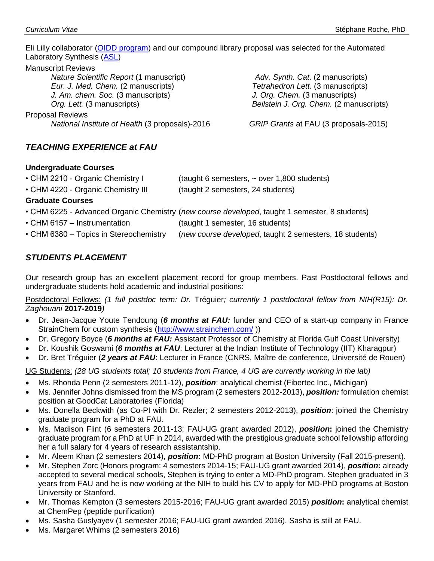Eli Lilly collaborator [\(OIDD program\)](https://openinnovation.lilly.com/dd/what-we-offer/synthesis.html) and our compound library proposal was selected for the Automated Laboratory Synthesis [\(ASL\)](https://openinnovation.lilly.com/dd/what-we-offer/synthesis.html)

#### Manuscript Reviews

*Nature Scientific Report* (1 manuscript) *Eur. J. Med. Chem.* (2 manuscripts) *J. Am. chem. Soc.* (3 manuscripts) *Org. Lett.* (3 manuscripts)

Proposal Reviews

*National Institute of Health* (3 proposals)-2016 *GRIP Grants* at FAU (3 proposals-2015)

*Adv. Synth. Cat*. (2 manuscripts) *Tetrahedron Lett.* (3 manuscripts) *J. Org. Chem.* (3 manuscripts) *Beilstein J. Org. Chem.* (2 manuscripts)

#### *TEACHING EXPERIENCE at FAU*

#### **Undergraduate Courses**

| • CHM 4220 - Organic Chemistry III | (taught 2 semesters, 24 students) |
|------------------------------------|-----------------------------------|

#### **Graduate Courses**

- CHM 6225 Advanced Organic Chemistry (*new course developed*, taught 1 semester, 8 students)
- CHM 6157 Instrumentation (taught 1 semester, 16 students)
- CHM 6380 Topics in Stereochemistry (*new course developed*, taught 2 semesters, 18 students)

#### *STUDENTS PLACEMENT*

Our research group has an excellent placement record for group members. Past Postdoctoral fellows and undergraduate students hold academic and industrial positions:

Postdoctoral Fellows: *(1 full postdoc term: Dr.* Tréguier*; currently 1 postdoctoral fellow from NIH(R15): Dr. Zaghouani* **2017-2019***)*

- Dr. Jean-Jacque Youte Tendoung (*6 months at FAU:* funder and CEO of a start-up company in France StrainChem for custom synthesis [\(http://www.strainchem.com/](http://www.strainchem.com/)))
- Dr. Gregory Boyce (*6 months at FAU:* Assistant Professor of Chemistry at Florida Gulf Coast University)
- Dr. Koushik Goswami (*6 months at FAU*: Lecturer at the Indian Institute of Technology (IIT) Kharagpur)
- Dr. Bret Tréguier (*2 years at FAU*: Lecturer in France (CNRS, Maître de conference, Université de Rouen)

UG Students: *(28 UG students total; 10 students from France, 4 UG are currently working in the lab)*

- Ms. Rhonda Penn (2 semesters 2011-12), *position*: analytical chemist (Fibertec Inc., Michigan)
- Ms. Jennifer Johns dismissed from the MS program (2 semesters 2012-2013), *position:* formulation chemist position at GoodCat Laboratories (Florida)
- Ms. Donella Beckwith (as Co-PI with Dr. Rezler; 2 semesters 2012-2013), *position*: joined the Chemistry graduate program for a PhD at FAU.
- Ms. Madison Flint (6 semesters 2011-13; FAU-UG grant awarded 2012), *position***:** joined the Chemistry graduate program for a PhD at UF in 2014, awarded with the prestigious graduate school fellowship affording her a full salary for 4 years of research assistantship.
- Mr. Aleem Khan (2 semesters 2014), *position***:** MD-PhD program at Boston University (Fall 2015-present).
- Mr. Stephen Zorc (Honors program: 4 semesters 2014-15; FAU-UG grant awarded 2014), *position***:** already accepted to several medical schools, Stephen is trying to enter a MD-PhD program. Stephen graduated in 3 years from FAU and he is now working at the NIH to build his CV to apply for MD-PhD programs at Boston University or Stanford.
- Mr. Thomas Kempton (3 semesters 2015-2016; FAU-UG grant awarded 2015) *position***:** analytical chemist at ChemPep (peptide purification)
- Ms. Sasha Guslyayev (1 semester 2016; FAU-UG grant awarded 2016). Sasha is still at FAU.
- Ms. Margaret Whims (2 semesters 2016)